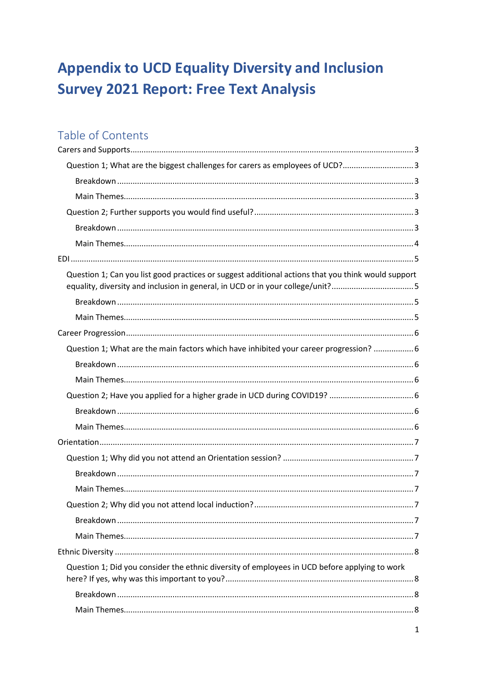# **Appendix to UCD Equality Diversity and Inclusion Survey 2021 Report: Free Text Analysis**

## Table of Contents

| Question 1; What are the biggest challenges for carers as employees of UCD?3                                                                                                         |  |
|--------------------------------------------------------------------------------------------------------------------------------------------------------------------------------------|--|
|                                                                                                                                                                                      |  |
|                                                                                                                                                                                      |  |
|                                                                                                                                                                                      |  |
|                                                                                                                                                                                      |  |
|                                                                                                                                                                                      |  |
|                                                                                                                                                                                      |  |
| Question 1; Can you list good practices or suggest additional actions that you think would support<br>equality, diversity and inclusion in general, in UCD or in your college/unit?5 |  |
|                                                                                                                                                                                      |  |
|                                                                                                                                                                                      |  |
|                                                                                                                                                                                      |  |
| Question 1; What are the main factors which have inhibited your career progression?  6                                                                                               |  |
|                                                                                                                                                                                      |  |
|                                                                                                                                                                                      |  |
|                                                                                                                                                                                      |  |
|                                                                                                                                                                                      |  |
|                                                                                                                                                                                      |  |
|                                                                                                                                                                                      |  |
|                                                                                                                                                                                      |  |
|                                                                                                                                                                                      |  |
|                                                                                                                                                                                      |  |
|                                                                                                                                                                                      |  |
|                                                                                                                                                                                      |  |
|                                                                                                                                                                                      |  |
|                                                                                                                                                                                      |  |
| Question 1; Did you consider the ethnic diversity of employees in UCD before applying to work                                                                                        |  |
|                                                                                                                                                                                      |  |
|                                                                                                                                                                                      |  |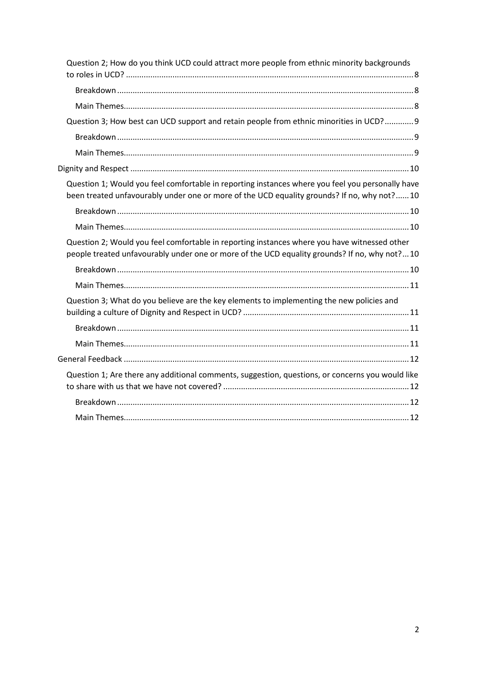| Question 2; How do you think UCD could attract more people from ethnic minority backgrounds                                                                                                    |  |
|------------------------------------------------------------------------------------------------------------------------------------------------------------------------------------------------|--|
|                                                                                                                                                                                                |  |
|                                                                                                                                                                                                |  |
|                                                                                                                                                                                                |  |
| Question 3; How best can UCD support and retain people from ethnic minorities in UCD? 9                                                                                                        |  |
|                                                                                                                                                                                                |  |
|                                                                                                                                                                                                |  |
|                                                                                                                                                                                                |  |
| Question 1; Would you feel comfortable in reporting instances where you feel you personally have<br>been treated unfavourably under one or more of the UCD equality grounds? If no, why not?10 |  |
|                                                                                                                                                                                                |  |
|                                                                                                                                                                                                |  |
| Question 2; Would you feel comfortable in reporting instances where you have witnessed other<br>people treated unfavourably under one or more of the UCD equality grounds? If no, why not?10   |  |
|                                                                                                                                                                                                |  |
|                                                                                                                                                                                                |  |
| Question 3; What do you believe are the key elements to implementing the new policies and                                                                                                      |  |
|                                                                                                                                                                                                |  |
|                                                                                                                                                                                                |  |
|                                                                                                                                                                                                |  |
|                                                                                                                                                                                                |  |
| Question 1; Are there any additional comments, suggestion, questions, or concerns you would like                                                                                               |  |
|                                                                                                                                                                                                |  |
|                                                                                                                                                                                                |  |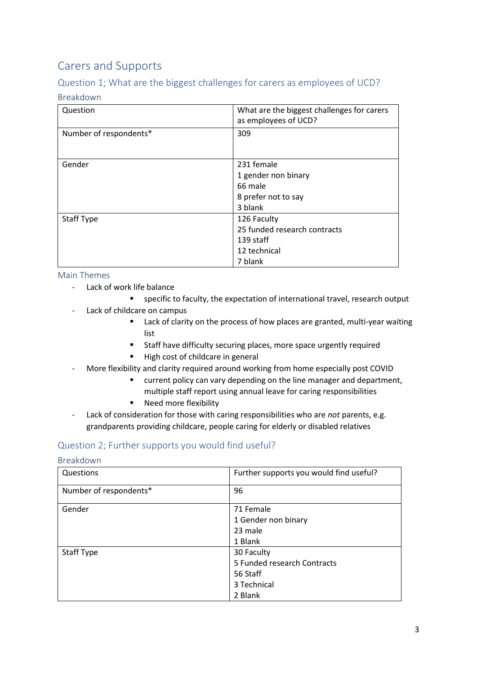## <span id="page-2-0"></span>Carers and Supports

## <span id="page-2-1"></span>Question 1; What are the biggest challenges for carers as employees of UCD?

### <span id="page-2-2"></span>Breakdown

| Question               | What are the biggest challenges for carers<br>as employees of UCD? |
|------------------------|--------------------------------------------------------------------|
| Number of respondents* | 309                                                                |
|                        |                                                                    |
| Gender                 | 231 female                                                         |
|                        | 1 gender non binary                                                |
|                        | 66 male                                                            |
|                        | 8 prefer not to say                                                |
|                        | 3 blank                                                            |
| <b>Staff Type</b>      | 126 Faculty                                                        |
|                        | 25 funded research contracts                                       |
|                        | 139 staff                                                          |
|                        | 12 technical                                                       |
|                        | 7 blank                                                            |

### <span id="page-2-3"></span>Main Themes

- Lack of work life balance
	- specific to faculty, the expectation of international travel, research output
- Lack of childcare on campus
	- Lack of clarity on the process of how places are granted, multi-year waiting list
	- Staff have difficulty securing places, more space urgently required
	- High cost of childcare in general
- More flexibility and clarity required around working from home especially post COVID
	- current policy can vary depending on the line manager and department, multiple staff report using annual leave for caring responsibilities
	- Need more flexibility
- Lack of consideration for those with caring responsibilities who are *not* parents, e.g. grandparents providing childcare, people caring for elderly or disabled relatives

## <span id="page-2-4"></span>Question 2; Further supports you would find useful?

### <span id="page-2-5"></span>Breakdown

| Questions              | Further supports you would find useful? |
|------------------------|-----------------------------------------|
| Number of respondents* | 96                                      |
| Gender                 | 71 Female                               |
|                        | 1 Gender non binary                     |
|                        | 23 male                                 |
|                        | 1 Blank                                 |
| <b>Staff Type</b>      | 30 Faculty                              |
|                        | 5 Funded research Contracts             |
|                        | 56 Staff                                |
|                        | 3 Technical                             |
|                        | 2 Blank                                 |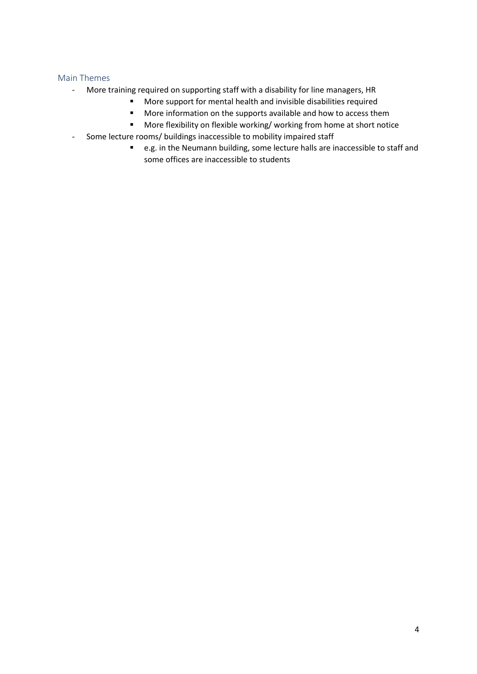- <span id="page-3-0"></span>- More training required on supporting staff with a disability for line managers, HR
	- More support for mental health and invisible disabilities required
	- More information on the supports available and how to access them
	- More flexibility on flexible working/ working from home at short notice
- Some lecture rooms/ buildings inaccessible to mobility impaired staff
	- e.g. in the Neumann building, some lecture halls are inaccessible to staff and some offices are inaccessible to students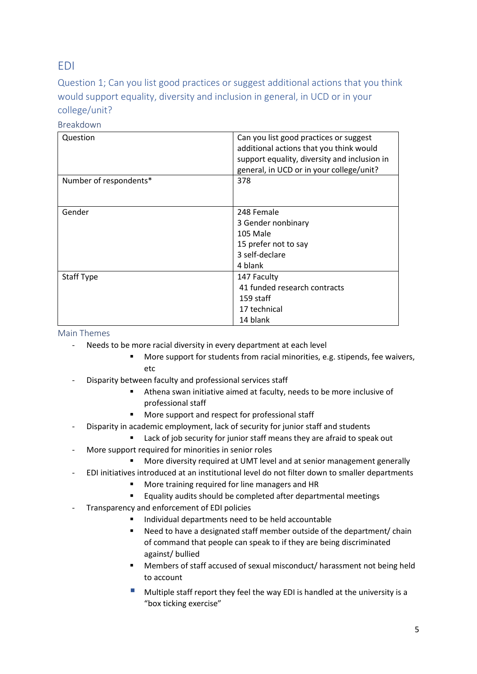## <span id="page-4-0"></span>EDI

<span id="page-4-1"></span>Question 1; Can you list good practices or suggest additional actions that you think would support equality, diversity and inclusion in general, in UCD or in your college/unit?

| Question               | Can you list good practices or suggest<br>additional actions that you think would<br>support equality, diversity and inclusion in<br>general, in UCD or in your college/unit? |
|------------------------|-------------------------------------------------------------------------------------------------------------------------------------------------------------------------------|
| Number of respondents* | 378                                                                                                                                                                           |
| Gender                 | 248 Female<br>3 Gender nonbinary<br>105 Male<br>15 prefer not to say<br>3 self-declare<br>4 blank                                                                             |
| <b>Staff Type</b>      | 147 Faculty<br>41 funded research contracts<br>159 staff<br>17 technical<br>14 blank                                                                                          |

### <span id="page-4-2"></span>Breakdown

- <span id="page-4-3"></span>- Needs to be more racial diversity in every department at each level
	- More support for students from racial minorities, e.g. stipends, fee waivers, etc
- Disparity between faculty and professional services staff
	- Athena swan initiative aimed at faculty, needs to be more inclusive of professional staff
	- More support and respect for professional staff
- Disparity in academic employment, lack of security for junior staff and students
	- Lack of job security for junior staff means they are afraid to speak out
- More support required for minorities in senior roles
	- More diversity required at UMT level and at senior management generally
- EDI initiatives introduced at an institutional level do not filter down to smaller departments
	- More training required for line managers and HR
	- Equality audits should be completed after departmental meetings
- Transparency and enforcement of EDI policies
	- Individual departments need to be held accountable
	- Need to have a designated staff member outside of the department/ chain of command that people can speak to if they are being discriminated against/ bullied
	- Members of staff accused of sexual misconduct/ harassment not being held to account
	- Multiple staff report they feel the way EDI is handled at the university is a "box ticking exercise"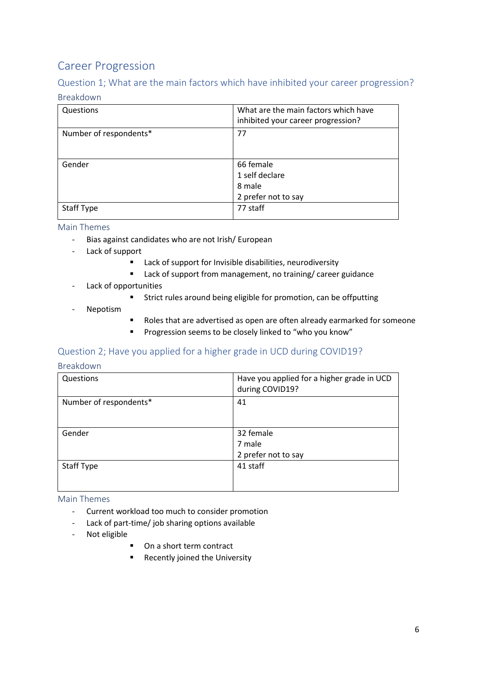## <span id="page-5-0"></span>Career Progression

## <span id="page-5-1"></span>Question 1; What are the main factors which have inhibited your career progression?

### <span id="page-5-2"></span>Breakdown

| Questions              | What are the main factors which have<br>inhibited your career progression? |
|------------------------|----------------------------------------------------------------------------|
| Number of respondents* | 77                                                                         |
| Gender                 | 66 female<br>1 self declare<br>8 male<br>2 prefer not to say               |
| <b>Staff Type</b>      | 77 staff                                                                   |

#### <span id="page-5-3"></span>Main Themes

- Bias against candidates who are not Irish/ European
- Lack of support
	- Lack of support for Invisible disabilities, neurodiversity
	- Lack of support from management, no training/ career guidance
- Lack of opportunities
	- Strict rules around being eligible for promotion, can be offputting
- Nepotism
- Roles that are advertised as open are often already earmarked for someone
- Progression seems to be closely linked to "who you know"

### <span id="page-5-4"></span>Question 2; Have you applied for a higher grade in UCD during COVID19?

#### <span id="page-5-5"></span>Breakdown

| Questions              | Have you applied for a higher grade in UCD<br>during COVID19? |
|------------------------|---------------------------------------------------------------|
| Number of respondents* | 41                                                            |
| Gender                 | 32 female<br>7 male<br>2 prefer not to say                    |
| Staff Type             | 41 staff                                                      |

- <span id="page-5-6"></span>- Current workload too much to consider promotion
- Lack of part-time/ job sharing options available
- Not eligible
	- On a short term contract
	- Recently joined the University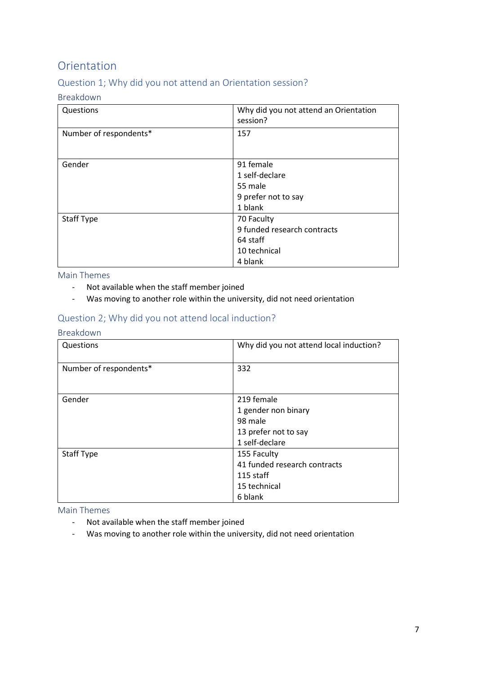## <span id="page-6-0"></span>Orientation

## <span id="page-6-1"></span>Question 1; Why did you not attend an Orientation session?

### <span id="page-6-2"></span>Breakdown

| Questions              | Why did you not attend an Orientation<br>session? |
|------------------------|---------------------------------------------------|
| Number of respondents* | 157                                               |
| Gender                 | 91 female                                         |
|                        | 1 self-declare                                    |
|                        | 55 male                                           |
|                        | 9 prefer not to say                               |
|                        | 1 blank                                           |
| <b>Staff Type</b>      | 70 Faculty                                        |
|                        | 9 funded research contracts                       |
|                        | 64 staff                                          |
|                        | 10 technical                                      |
|                        | 4 blank                                           |

## <span id="page-6-3"></span>Main Themes

- Not available when the staff member joined
- Was moving to another role within the university, did not need orientation

## <span id="page-6-4"></span>Question 2; Why did you not attend local induction?

### <span id="page-6-5"></span>Breakdown

| Questions              | Why did you not attend local induction? |
|------------------------|-----------------------------------------|
| Number of respondents* | 332                                     |
|                        |                                         |
| Gender                 | 219 female                              |
|                        | 1 gender non binary                     |
|                        | 98 male                                 |
|                        | 13 prefer not to say                    |
|                        | 1 self-declare                          |
| <b>Staff Type</b>      | 155 Faculty                             |
|                        | 41 funded research contracts            |
|                        | 115 staff                               |
|                        | 15 technical                            |
|                        | 6 blank                                 |

- <span id="page-6-6"></span>- Not available when the staff member joined
- Was moving to another role within the university, did not need orientation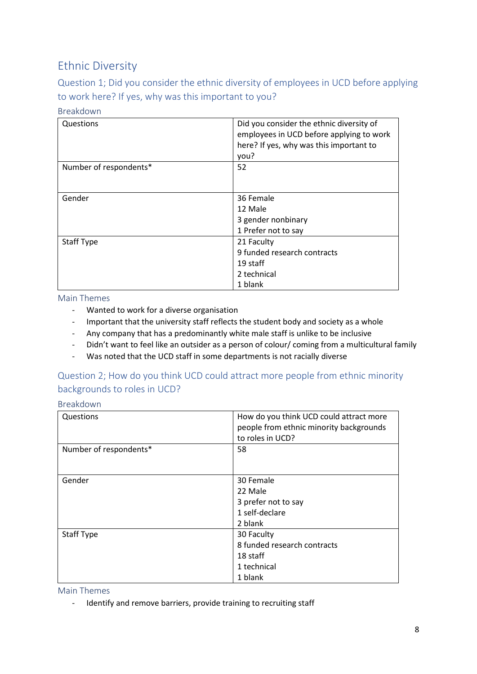## <span id="page-7-0"></span>Ethnic Diversity

<span id="page-7-1"></span>Question 1; Did you consider the ethnic diversity of employees in UCD before applying to work here? If yes, why was this important to you?

## <span id="page-7-2"></span>Breakdown

| Questions              | Did you consider the ethnic diversity of<br>employees in UCD before applying to work<br>here? If yes, why was this important to<br>you? |
|------------------------|-----------------------------------------------------------------------------------------------------------------------------------------|
| Number of respondents* | 52                                                                                                                                      |
| Gender                 | 36 Female<br>12 Male<br>3 gender nonbinary<br>1 Prefer not to say                                                                       |
| <b>Staff Type</b>      | 21 Faculty<br>9 funded research contracts<br>19 staff<br>2 technical<br>1 blank                                                         |

<span id="page-7-3"></span>Main Themes

- Wanted to work for a diverse organisation
- Important that the university staff reflects the student body and society as a whole
- Any company that has a predominantly white male staff is unlike to be inclusive
- Didn't want to feel like an outsider as a person of colour/ coming from a multicultural family
- Was noted that the UCD staff in some departments is not racially diverse

## <span id="page-7-4"></span>Question 2; How do you think UCD could attract more people from ethnic minority backgrounds to roles in UCD?

#### <span id="page-7-5"></span>Breakdown

| Questions              | How do you think UCD could attract more<br>people from ethnic minority backgrounds<br>to roles in UCD? |
|------------------------|--------------------------------------------------------------------------------------------------------|
| Number of respondents* | 58                                                                                                     |
| Gender                 | 30 Female<br>22 Male<br>3 prefer not to say<br>1 self-declare<br>2 blank                               |
| <b>Staff Type</b>      | 30 Faculty<br>8 funded research contracts<br>18 staff<br>1 technical<br>1 blank                        |

<span id="page-7-6"></span>Main Themes

- Identify and remove barriers, provide training to recruiting staff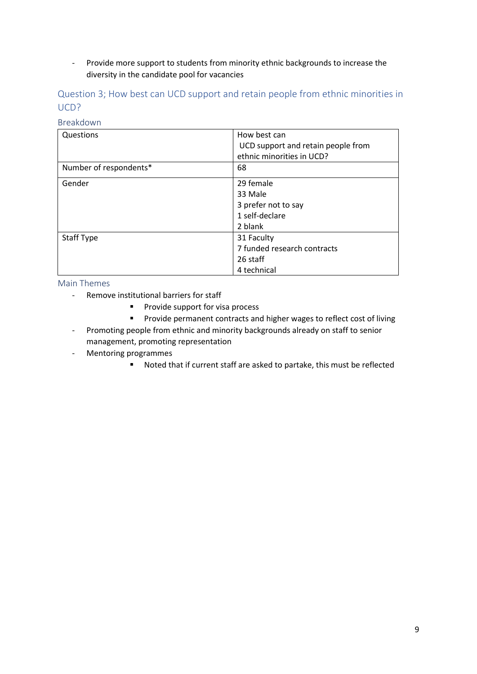- Provide more support to students from minority ethnic backgrounds to increase the diversity in the candidate pool for vacancies

<span id="page-8-0"></span>Question 3; How best can UCD support and retain people from ethnic minorities in UCD?

## <span id="page-8-1"></span>Breakdown

| Questions              | How best can                       |
|------------------------|------------------------------------|
|                        | UCD support and retain people from |
|                        | ethnic minorities in UCD?          |
| Number of respondents* | 68                                 |
| Gender                 | 29 female                          |
|                        | 33 Male                            |
|                        | 3 prefer not to say                |
|                        | 1 self-declare                     |
|                        | 2 blank                            |
| Staff Type             | 31 Faculty                         |
|                        | 7 funded research contracts        |
|                        | 26 staff                           |
|                        | 4 technical                        |

- <span id="page-8-2"></span>- Remove institutional barriers for staff
	- Provide support for visa process
	- Provide permanent contracts and higher wages to reflect cost of living
- Promoting people from ethnic and minority backgrounds already on staff to senior management, promoting representation
- Mentoring programmes
	- Noted that if current staff are asked to partake, this must be reflected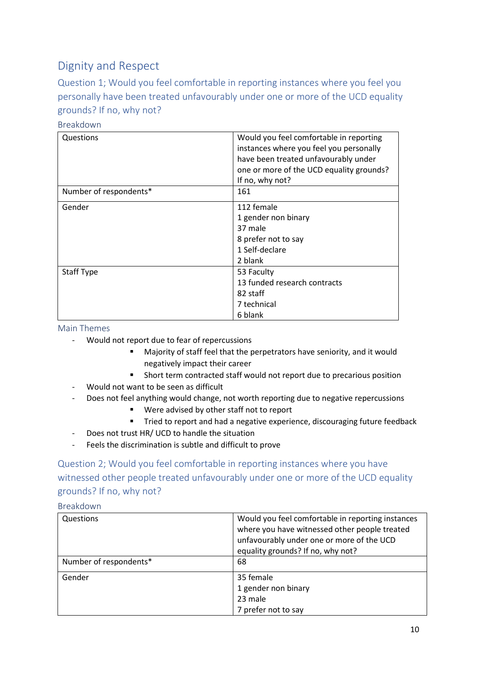## <span id="page-9-0"></span>Dignity and Respect

<span id="page-9-1"></span>Question 1; Would you feel comfortable in reporting instances where you feel you personally have been treated unfavourably under one or more of the UCD equality grounds? If no, why not?

| Questions              | Would you feel comfortable in reporting  |
|------------------------|------------------------------------------|
|                        | instances where you feel you personally  |
|                        | have been treated unfavourably under     |
|                        | one or more of the UCD equality grounds? |
|                        | If no, why not?                          |
| Number of respondents* | 161                                      |
| Gender                 | 112 female                               |
|                        | 1 gender non binary                      |
|                        | 37 male                                  |
|                        | 8 prefer not to say                      |
|                        | 1 Self-declare                           |
|                        | 2 blank                                  |
| <b>Staff Type</b>      | 53 Faculty                               |
|                        | 13 funded research contracts             |
|                        | 82 staff                                 |
|                        | 7 technical                              |
|                        | 6 blank                                  |

### <span id="page-9-2"></span>Breakdown

#### <span id="page-9-3"></span>Main Themes

- Would not report due to fear of repercussions
	- Majority of staff feel that the perpetrators have seniority, and it would negatively impact their career
	- Short term contracted staff would not report due to precarious position
- Would not want to be seen as difficult
- Does not feel anything would change, not worth reporting due to negative repercussions
	- Were advised by other staff not to report
	- Tried to report and had a negative experience, discouraging future feedback
- Does not trust HR/ UCD to handle the situation
- Feels the discrimination is subtle and difficult to prove

<span id="page-9-4"></span>Question 2; Would you feel comfortable in reporting instances where you have witnessed other people treated unfavourably under one or more of the UCD equality grounds? If no, why not?

### <span id="page-9-5"></span>Breakdown

| Questions              | Would you feel comfortable in reporting instances<br>where you have witnessed other people treated<br>unfavourably under one or more of the UCD<br>equality grounds? If no, why not? |
|------------------------|--------------------------------------------------------------------------------------------------------------------------------------------------------------------------------------|
| Number of respondents* | 68                                                                                                                                                                                   |
| Gender                 | 35 female<br>1 gender non binary<br>23 male<br>7 prefer not to say                                                                                                                   |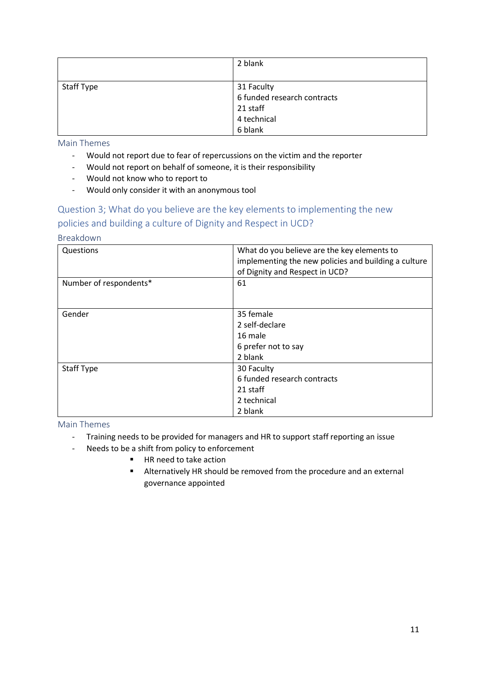|            | 2 blank                     |
|------------|-----------------------------|
|            |                             |
| Staff Type | 31 Faculty                  |
|            | 6 funded research contracts |
|            | 21 staff                    |
|            | 4 technical                 |
|            | 6 blank                     |

<span id="page-10-0"></span>Main Themes

- Would not report due to fear of repercussions on the victim and the reporter
- Would not report on behalf of someone, it is their responsibility
- Would not know who to report to
- Would only consider it with an anonymous tool

## <span id="page-10-1"></span>Question 3; What do you believe are the key elements to implementing the new policies and building a culture of Dignity and Respect in UCD?

<span id="page-10-2"></span>Breakdown

| Questions              | What do you believe are the key elements to<br>implementing the new policies and building a culture<br>of Dignity and Respect in UCD? |
|------------------------|---------------------------------------------------------------------------------------------------------------------------------------|
| Number of respondents* | 61                                                                                                                                    |
| Gender                 | 35 female<br>2 self-declare<br>16 male<br>6 prefer not to say<br>2 blank                                                              |
| <b>Staff Type</b>      | 30 Faculty<br>6 funded research contracts<br>21 staff<br>2 technical<br>2 blank                                                       |

- <span id="page-10-3"></span>- Training needs to be provided for managers and HR to support staff reporting an issue
- Needs to be a shift from policy to enforcement
	- HR need to take action
	- Alternatively HR should be removed from the procedure and an external governance appointed